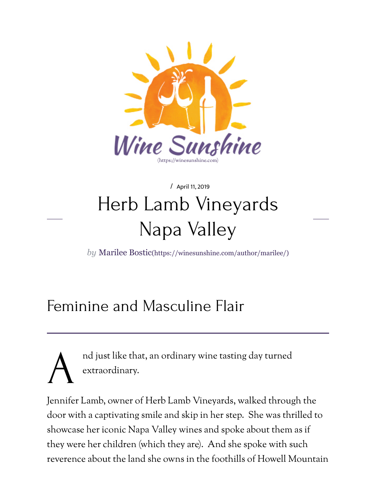

## / April 11, 2019 H[erb Lamb Vineyard](https://winesunshine.com/)s Napa Valley

*by* Marilee Bostic(https://winesunshine.com/author/marilee/)

## Femini[ne and Masculine Flair](https://winesunshine.com/author/marilee/)

A nd just like that, an ordinary wine tasting day turned extraordinary.

Jennifer Lamb, owner of Herb Lamb Vineyards, walked through the door with a captivating smile and skip in her step. She was thrilled to showcase her iconic Napa Valley wines and spoke about them as if they were her children (which they are). And she spoke with such reverence about the land she owns in the foothills of Howell Mounta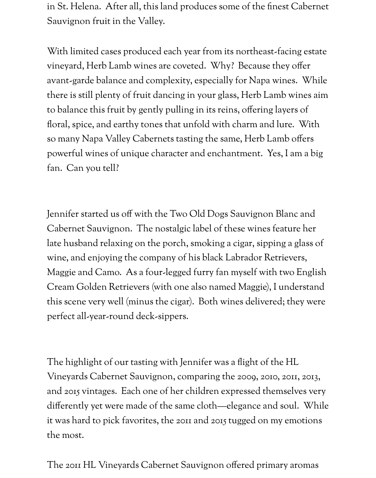in St. Helena. After all, this land produces some of the fnest Cabernet Sauvignon fruit in the Valley.

With limited cases produced each year from its northeast-facing estate vineyard, Herb Lamb wines are coveted. Why? Because they ofer avant-garde balance and complexity, especially for Napa wines. While there is still plenty of fruit dancing in your glass, Herb Lamb wines aim to balance this fruit by gently pulling in its reins, ofering layers of foral, spice, and earthy tones that unfold with charm and lure. With so many Napa Valley Cabernets tasting the same, Herb Lamb ofers powerful wines of unique character and enchantment. Yes, I am a big fan. Can you tell?

Jennifer started us off with the Two Old Dogs Sauvignon Blanc and Cabernet Sauvignon. The nostalgic label of these wines feature her late husband relaxing on the porch, smoking a cigar, sipping a glass of wine, and enjoying the company of his black Labrador Retrievers, Maggie and Camo. As a four-legged furry fan myself with two English Cream Golden Retrievers (with one also named Maggie), I understand this scene very well (minus the cigar). Both wines delivered; they were perfect all-year-round deck-sippers.

The highlight of our tasting with Jennifer was a fight of the HL Vineyards Cabernet Sauvignon, comparing the 2009, 2010, 2011, 2013, and 2015 vintages. Each one of her children expressed themselves very diferently yet were made of the same cloth—elegance and soul. While it was hard to pick favorites, the 2011 and 2015 tugged on my emotions the most.

The 2011 HL Vineyards Cabernet Sauvignon ofered primary aromas